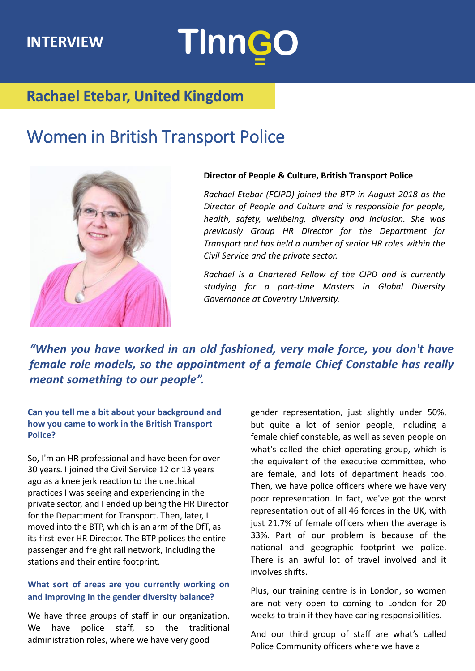### **INTERVIEW**

# **TInnGO**

## **Rachael Etebar, United Kingdom**

## Women in British Transport Police



#### **Director of People & Culture, British Transport Police**

*Rachael Etebar (FCIPD) joined the BTP in August 2018 as the Director of People and Culture and is responsible for people, health, safety, wellbeing, diversity and inclusion. She was previously Group HR Director for the Department for Transport and has held a number of senior HR roles within the Civil Service and the private sector.*

*Rachael is a Chartered Fellow of the CIPD and is currently studying for a part-time Masters in Global Diversity Governance at Coventry University.*

*"When you have worked in an old fashioned, very male force, you don't have female role models, so the appointment of a female Chief Constable has really meant something to our people".*

**Can you tell me a bit about your background and how you came to work in the British Transport Police?**

So, I'm an HR professional and have been for over 30 years. I joined the Civil Service 12 or 13 years ago as a knee jerk reaction to the unethical practices I was seeing and experiencing in the private sector, and I ended up being the HR Director for the Department for Transport. Then, later, I moved into the BTP, which is an arm of the DfT, as its first-ever HR Director. The BTP polices the entire passenger and freight rail network, including the stations and their entire footprint.

#### **What sort of areas are you currently working on and improving in the gender diversity balance?**

We have three groups of staff in our organization. We have police staff, so the traditional administration roles, where we have very good

gender representation, just slightly under 50%, but quite a lot of senior people, including a female chief constable, as well as seven people on what's called the chief operating group, which is the equivalent of the executive committee, who are female, and lots of department heads too. Then, we have police officers where we have very poor representation. In fact, we've got the worst representation out of all 46 forces in the UK, with just 21.7% of female officers when the average is 33%. Part of our problem is because of the national and geographic footprint we police. There is an awful lot of travel involved and it involves shifts.

Plus, our training centre is in London, so women are not very open to coming to London for 20 weeks to train if they have caring responsibilities.

And our third group of staff are what's called Police Community officers where we have a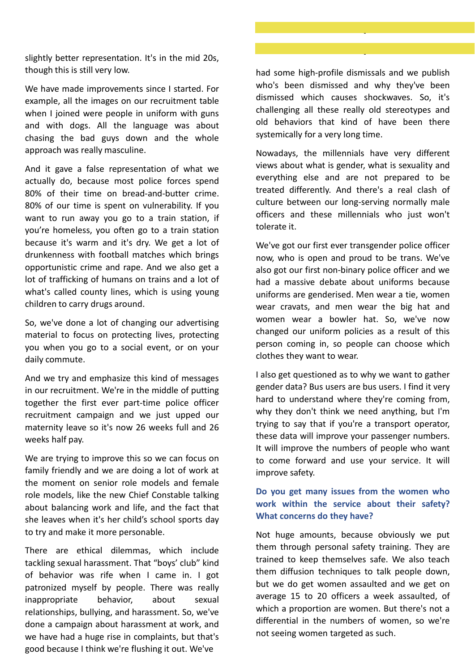slightly better representation. It's in the mid 20s, though this is still very low.

We have made improvements since I started. For example, all the images on our recruitment table when I joined were people in uniform with guns and with dogs. All the language was about chasing the bad guys down and the whole approach was really masculine.

And it gave a false representation of what we actually do, because most police forces spend 80% of their time on bread-and-butter crime. 80% of our time is spent on vulnerability. If you want to run away you go to a train station, if you're homeless, you often go to a train station because it's warm and it's dry. We get a lot of drunkenness with football matches which brings opportunistic crime and rape. And we also get a lot of trafficking of humans on trains and a lot of what's called county lines, which is using young children to carry drugs around.

So, we've done a lot of changing our advertising material to focus on protecting lives, protecting you when you go to a social event, or on your daily commute.

And we try and emphasize this kind of messages in our recruitment. We're in the middle of putting together the first ever part-time police officer recruitment campaign and we just upped our maternity leave so it's now 26 weeks full and 26 weeks half pay.

We are trying to improve this so we can focus on family friendly and we are doing a lot of work at the moment on senior role models and female role models, like the new Chief Constable talking about balancing work and life, and the fact that she leaves when it's her child's school sports day to try and make it more personable.

There are ethical dilemmas, which include tackling sexual harassment. That "boys' club" kind of behavior was rife when I came in. I got patronized myself by people. There was really inappropriate behavior, about sexual relationships, bullying, and harassment. So, we've done a campaign about harassment at work, and we have had a huge rise in complaints, but that's good because I think we're flushing it out. We've

had some high-profile dismissals and we publish who's been dismissed and why they've been dismissed which causes shockwaves. So, it's challenging all these really old stereotypes and old behaviors that kind of have been there systemically for a very long time.

Nowadays, the millennials have very different views about what is gender, what is sexuality and everything else and are not prepared to be treated differently. And there's a real clash of culture between our long-serving normally male officers and these millennials who just won't tolerate it.

We've got our first ever transgender police officer now, who is open and proud to be trans. We've also got our first non-binary police officer and we had a massive debate about uniforms because uniforms are genderised. Men wear a tie, women wear cravats, and men wear the big hat and women wear a bowler hat. So, we've now changed our uniform policies as a result of this person coming in, so people can choose which clothes they want to wear.

I also get questioned as to why we want to gather gender data? Bus users are bus users. I find it very hard to understand where they're coming from, why they don't think we need anything, but I'm trying to say that if you're a transport operator, these data will improve your passenger numbers. It will improve the numbers of people who want to come forward and use your service. It will improve safety.

#### **Do you get many issues from the women who work within the service about their safety? What concerns do they have?**

Not huge amounts, because obviously we put them through personal safety training. They are trained to keep themselves safe. We also teach them diffusion techniques to talk people down, but we do get women assaulted and we get on average 15 to 20 officers a week assaulted, of which a proportion are women. But there's not a differential in the numbers of women, so we're not seeing women targeted as such.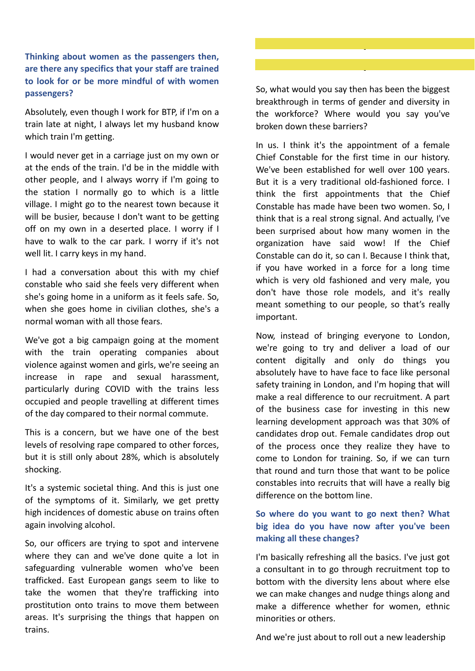#### **Thinking about women as the passengers then, are there any specifics that your staff are trained to look for or be more mindful of with women passengers?**

Absolutely, even though I work for BTP, if I'm on a train late at night, I always let my husband know which train I'm getting.

I would never get in a carriage just on my own or at the ends of the train. I'd be in the middle with other people, and I always worry if I'm going to the station I normally go to which is a little village. I might go to the nearest town because it will be busier, because I don't want to be getting off on my own in a deserted place. I worry if I have to walk to the car park. I worry if it's not well lit. I carry keys in my hand.

I had a conversation about this with my chief constable who said she feels very different when she's going home in a uniform as it feels safe. So, when she goes home in civilian clothes, she's a normal woman with all those fears.

We've got a big campaign going at the moment with the train operating companies about violence against women and girls, we're seeing an increase in rape and sexual harassment, particularly during COVID with the trains less occupied and people travelling at different times of the day compared to their normal commute.

This is a concern, but we have one of the best levels of resolving rape compared to other forces, but it is still only about 28%, which is absolutely shocking.

It's a systemic societal thing. And this is just one of the symptoms of it. Similarly, we get pretty high incidences of domestic abuse on trains often again involving alcohol.

So, our officers are trying to spot and intervene where they can and we've done quite a lot in safeguarding vulnerable women who've been trafficked. East European gangs seem to like to take the women that they're trafficking into prostitution onto trains to move them between areas. It's surprising the things that happen on trains.

#### So, what would you say then has been the biggest breakthrough in terms of gender and diversity in the workforce? Where would you say you've broken down these barriers?

In us. I think it's the appointment of a female Chief Constable for the first time in our history. We've been established for well over 100 years. But it is a very traditional old-fashioned force. I think the first appointments that the Chief Constable has made have been two women. So, I think that is a real strong signal. And actually, I've been surprised about how many women in the organization have said wow! If the Chief Constable can do it, so can I. Because I think that, if you have worked in a force for a long time which is very old fashioned and very male, you don't have those role models, and it's really meant something to our people, so that's really important.

Now, instead of bringing everyone to London, we're going to try and deliver a load of our content digitally and only do things you absolutely have to have face to face like personal safety training in London, and I'm hoping that will make a real difference to our recruitment. A part of the business case for investing in this new learning development approach was that 30% of candidates drop out. Female candidates drop out of the process once they realize they have to come to London for training. So, if we can turn that round and turn those that want to be police constables into recruits that will have a really big difference on the bottom line.

#### **So where do you want to go next then? What big idea do you have now after you've been making all these changes?**

I'm basically refreshing all the basics. I've just got a consultant in to go through recruitment top to bottom with the diversity lens about where else we can make changes and nudge things along and make a difference whether for women, ethnic minorities or others.

And we're just about to roll out a new leadership